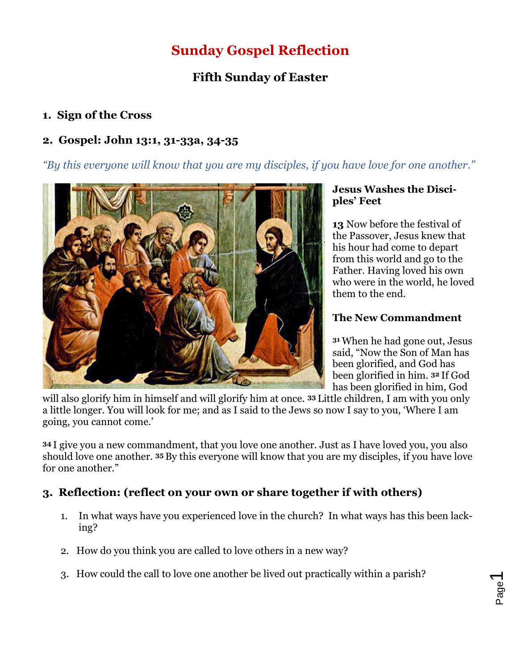# **Sunday Gospel Reflection**

## **Fifth Sunday of Easter**

### **1. Sign of the Cross**

#### **2. Gospel: John 13:1, 31-33a, 34-35**

*"By this everyone will know that you are my disciples, if you have love for one another."*



#### **Jesus Washes the Disciples' Feet**

**13** Now before the festival of the Passover, Jesus knew that his hour had come to depart from this world and go to the Father. Having loved his own who were in the world, he loved them to the end.

#### **The New Commandment**

**<sup>31</sup>** When he had gone out, Jesus said, "Now the Son of Man has been glorified, and God has been glorified in him. **<sup>32</sup>** If God has been glorified in him, God

will also glorify him in himself and will glorify him at once. **<sup>33</sup>** Little children, I am with you only a little longer. You will look for me; and as I said to the Jews so now I say to you, 'Where I am going, you cannot come.'

**<sup>34</sup>** I give you a new commandment, that you love one another. Just as I have loved you, you also should love one another. **<sup>35</sup>** By this everyone will know that you are my disciples, if you have love for one another."

#### **3. Reflection: (reflect on your own or share together if with others)**

- 1. In what ways have you experienced love in the church? In what ways has this been lacking?
- 2. How do you think you are called to love others in a new way?
- 3. How could the call to love one another be lived out practically within a parish?